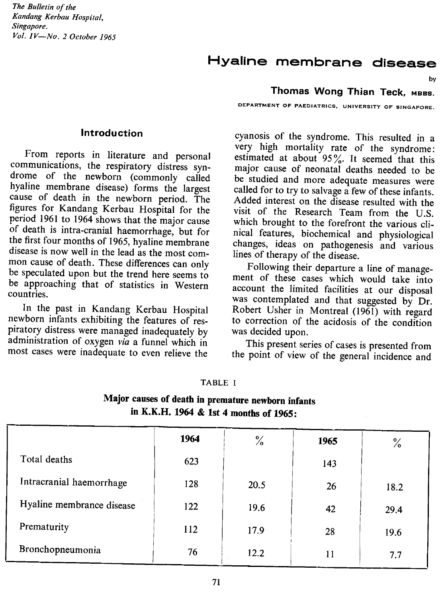*The Bulletin oj'the*  $Singa pore$  $\overline{V}$ <sub>*Si* $\overline{IV}$ </sub> *Vol. IV-No.2 October 1965*

# Hyaline membrane disease

bv

#### **Thomas Wong Thian Teck, MBBS.**

DEPARTMENT OF PAEDIATRICS, UNIVERSITY OF SINGAPORE.

## **Introduction**

From reports in literature and personal communications, the respiratory distress syndrome of the newborn (commonly called hyaline membrane disease) forms the largest cause of death in the newborn period. The figures for Kandang Kerbau Hospital for the period 1961 to 1964 shows that the major cause of death is intra-cranial haemorrhage, but for the first four months of 1965, hyaline membrane disease is now well in the lead as the most common cause of death. These differences can only be speculated upon but the trend here seems to be approaching that of statistics in Western countries.

In the past in Kandang Kerbau Hospital newborn infants exhibiting the features of respiratory distress were managed inadequately by administration of oxygen *via* a funnel which in most cases were inadequate to even relieve the

cyanosis of the syndrome. This resulted in a very high mortality rate of the syndrome: estimated at about 95%. It seemed that this major cause of neonatal deaths needed to be be studied and more adequate measures were called for to try to salvage  $\hat{a}$  few of these infants. Added interest on the disease resulted with the visit of the Research Team from the U.S. which brought to the forefront the various clinical features, biochemical and physiological changes, ideas on pathogenesis and various lines of therapy of the disease.

Following their departure a line of management of these cases which would take into account the limited facilities at our disposal was contemplated and that suggested by Dr. Robert Usher in Montreal (1961) with regard to correction of the acidosis of the condition was decided upon.

This present series of cases is presented from the point of view of the general incidence and

| In K.K.H. 1964 & 1st 4 months of 1965: |      |      |      |      |  |  |
|----------------------------------------|------|------|------|------|--|--|
|                                        | 1964 | $\%$ | 1965 | $\%$ |  |  |
| Total deaths                           | 623  |      | 143  |      |  |  |
| Intracranial haemorrhage               | 128  | 20.5 | 26   | 18.2 |  |  |
| Hyaline membrance disease              | 122  | 19.6 | 42   | 29.4 |  |  |
| Prematurity                            | 112  | 17.9 | 28   | 19.6 |  |  |
| Bronchopneumonia                       | 76   | 12.2 | 11   | 7.7  |  |  |

**Major causes of death in premature newborn infants in K.K.H. 1964 & 1st 4 months of 1965:**

TABLE I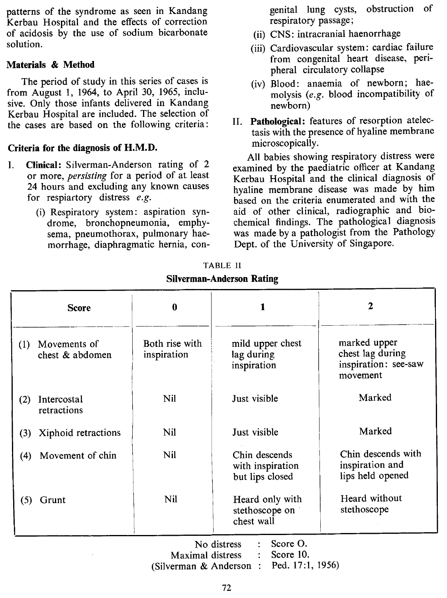patterns of the syndrome as seen in Kandang Kerbau Hospital and the effects of correction of acidosis by the use of sodium bicarbonate solution.

## **Materials & Method**

The period of study in this series of cases is from August 1, 1964, to April 30, 1965, inclusive. Only those infants delivered in Kandang Kerbau Hospital are included. The selection of the cases are based on the following criteria:

# **Criteria for the diagnosis of H.M.D.**

- I. **Clinical:** Silverman-Anderson rating of 2 or more, *persisting* for a period of at least 24 hours and excluding any known causes for respiartory distress *e.g.*
	- (i) Respiratory system: aspiration syndrome, bronchopneumonia, emphysema, pneumothorax, pulmonary haemorrhage, diaphragmatic hernia, con-

genital lung cysts, obstruction of respiratory passage;

- (ii) CNS: intracranial haenorrhage
- (iii) Cardiovascular system: cardiac failure from congenital heart disease, peripheral circulatory collapse
- (iv) Blood: anaemia of newborn; haemolysis *(e.g.* blood incompatibility of newborn)
- **II. Pathological:** features of resorption atelectasis with the presence of hyaline membrane microscopically.

All babies showing respiratory distress were examined by the paediatric officer at Kandang Kerbau Hospital and the clinical diagnosis of hyaline membrane disease was made by him based on the criteria enumerated and with the aid of other clinical, radiographic and biochemical findings. The pathological diagnosis was made by a pathologist from the Pathology Dept. of the University of Singapore.

|     | <b>Score</b>                    | 0                             |                                                      | 2                                                                    |
|-----|---------------------------------|-------------------------------|------------------------------------------------------|----------------------------------------------------------------------|
| (1) | Movements of<br>chest & abdomen | Both rise with<br>inspiration | mild upper chest<br>lag during<br>inspiration        | marked upper<br>chest lag during<br>inspiration: see-saw<br>movement |
| (2) | Intercostal<br>retractions      | Nil                           | Just visible                                         | Marked                                                               |
| (3) | Xiphoid retractions             | Nil                           | Just visible                                         | Marked                                                               |
| (4) | Movement of chin                | Nil                           | Chin descends<br>with inspiration<br>but lips closed | Chin descends with<br>inspiration and<br>lips held opened            |
| (5) | Grunt                           | Nil                           | Heard only with<br>stethoscope on<br>chest wall      | Heard without<br>stethoscope                                         |

TABLE II **Silverman-Anderson Rating**

No distress Score O. Maximal distress Score 10.  $\ddot{\cdot}$ Ped. 17:1, 1956)(Silverman & Anderson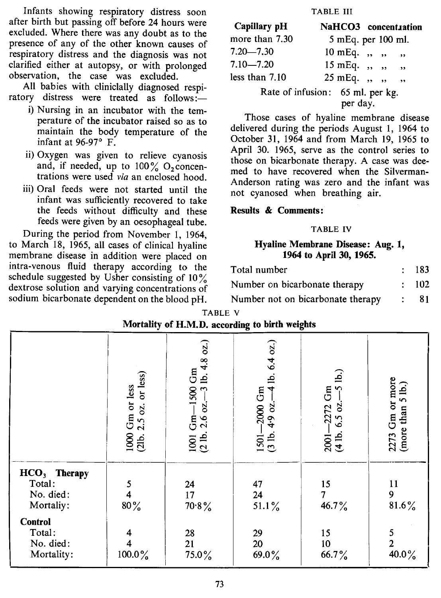Infants showing respiratory distress soon after birth but passing off before 24 hours were excluded. Where there was any doubt as to the presence of any of the other known causes of respiratory distress and the diagnosis was not clarified either at autopsy, or with prolonged observation, the case was excluded.

All babies with cliniclally diagnosed respiratory distress were treated as follows:-

- i) Nursing in an incubator with the temperature of the incubator raised so as to maintain the body temperature of the infant at 96-97° F.
- ii) Oxygen was given to relieve cyanosis and, if needed, up to  $100\%$  O<sub>2</sub> concentrations were used *via* an enclosed hood.
- iii) Oral feeds were not started until the infant was sufficiently recovered to take the feeds without difficulty and these feeds were given by an oesophageal tube.

During the period from November 1, 1964, to March 18, 1965, all cases of clinical hyaline membrane disease in addition were placed on intra-venous fluid therapy according to the schedule suggested by Usher consisting of  $10\%$ dextrose solution and varying concentrations of sodium bicarbonate dependent on the blood pH. **TABLE III** 

| Capillary pH   | NaHCO3 concentration                         |
|----------------|----------------------------------------------|
| more than 7.30 | 5 mEq. per 100 ml.                           |
| 7.20—7.30      | $10$ mEq. , , , , ,                          |
| 7.10—7.20      | $15$ mEq. , , , , ,                          |
| less than 7.10 | $25 \text{ mEq.}$ , , , , ,                  |
|                | Rate of infusion: 65 ml. per kg.<br>per day. |

Those cases of hyaline membrane disease delivered during the periods August 1, 1964 to October 31, 1964 and from March 19, 1965 to April 30. 1965, serve as the control series to those on bicarbonate therapy. A case was deemed to have recovered when the Silverman-Anderson rating was zero and the infant was not cyanosed when breathing air.

# **Results & Comments:**

#### **TABLE IV**

# Hyaline Membrane Disease: Aug. 1, 1964 to April 30, 1965.

| Total number                      |                   | $\div$ 183 |
|-----------------------------------|-------------------|------------|
| Number on bicarbonate therapy     |                   | : 102      |
| Number not on bicarbonate therapy | $\sim$ 100 $\sim$ | -81        |

| <b>TABLE V</b> |  |                                                |  |  |  |  |
|----------------|--|------------------------------------------------|--|--|--|--|
|                |  | Mortality of H.M.D. according to birth weights |  |  |  |  |
|                |  |                                                |  |  |  |  |

|                                                     | or less)<br>$1000$ Gm or less<br>(2lb. 2.5 oz. or $\lg$ | $\overline{02}$ .<br>4.8<br>$-1500$ Gm<br>$2z$ $-3$ lb. 4<br>ò.<br>$Gm -$<br>$1001$ (2 lb. | $6.4 \text{ oz.}$<br>ib.<br>2000 Gm<br>02.<br>4.9<br>(3 1b.<br>1501- | 16.)<br>Gm<br>2272<br>20<br>6.5<br>$\frac{1}{2001}$ | $2273$ Gm or more<br>(more than 5 lb.) |
|-----------------------------------------------------|---------------------------------------------------------|--------------------------------------------------------------------------------------------|----------------------------------------------------------------------|-----------------------------------------------------|----------------------------------------|
| $HCO3$ Therapy<br>Total:<br>No. died:<br>Mortaliy:  | 5<br>4<br>80%                                           | 24<br>17<br>$70.8\%$                                                                       | 47<br>24<br>$51.1\%$                                                 | 15<br>7<br>$46.7\%$                                 | 11<br>9<br>$81.6\%$                    |
| <b>Control</b><br>Total:<br>No. died:<br>Mortality: | 4<br>4<br>$100.0\%$                                     | 28<br>21<br>75.0%                                                                          | 29<br>20<br>69.0 $\%$                                                | 15<br>10<br>66.7%                                   | $\frac{5}{2}$<br>40.0%                 |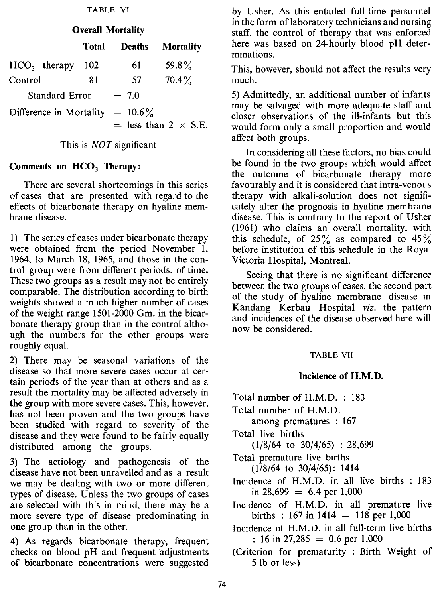#### **TABLE VI**

## **Overall Mortality**

|                         | Total |            | Deaths Mortality              |
|-------------------------|-------|------------|-------------------------------|
| $HCO3$ therapy          | 102   | 61         | 59.8%                         |
| Control                 | 81    | 57         | $70.4\%$                      |
| Standard Error          |       | $= 7.0$    |                               |
| Difference in Mortality |       | $= 10.6\%$ |                               |
|                         |       |            | $=$ less than 2 $\times$ S.E. |

This is *NOT* significant

## **Comments on** HC0<sup>3</sup> **Therapy:**

There are several shortcomings in this series of cases that are presented with regard to the effects of bicarbonate therapy on hyaline membrane disease.

1) The series of cases under bicarbonate therapy were obtained from the period November 1, 1964, to March 18, 1965, and those in the control group were from different periods. of time. These two groups as a result may not be entirely comparable. The distribution according to birth weights showed a much higher number of cases of the weight range 1501-2000Gm. in the bicarbonate therapy group than in the control although the numbers for the other groups were roughly equal.

2) There may be seasonal variations of the disease so that more severe cases occur at certain periods of the year than at others and as a result the mortality may be affected adversely in the group with more severe cases. This, however, has not been proven and the two groups have been studied with regard to severity of the disease and they were found to be fairly equally distributed among the groups.

3) The aetiology and pathogenesis of the disease have not been unravelled and as a result we may be dealing with two or more different types of disease. Unless the two groups of cases are selected with this in mind, there may be a more severe type of disease predominating in one group than in the other.

4) As regards bicarbonate therapy, frequent checks on blood pH and frequent adjustments of bicarbonate concentrations were suggested

by Usher. As this entailed full-time personnel in the form of laboratory technicians and nursing staff, the control of therapy that was enforced here was based on 24-hourly blood pH determinations.

This, however, should not affect the results very much.

5) Admittedly, an additional number of infants may be salvaged with more adequate staff and closer observations of the ill-infants but this would form only a small proportion and would affect both groups.

In considering all these factors, no bias could be found in the two groups which would affect the outcome of bicarbonate therapy more favourably and it is considered that intra-venous therapy with alkali-solution does not significately alter the prognosis in hyaline membrane disease. This is contrary to the report of Usher (1961) who claims an overall mortality, with this schedule, of  $25\%$  as compared to  $45\%$ before institution of this schedule in the Royal Victoria Hospital, Montreal.

Seeing that there is no significant difference between the two groups of cases, the second part of the study of hyaline membrane disease in Kandang Kerbau Hospital *viz.* the pattern and incidences of the disease observed here will now be considered.

## **TABLE VII**

## Incidence of H.M.D.

Total number of H.M.D. : 183

Total number of H.M.D.

- among prematures : 167
- Total live births
	- $(1/8/64$  to  $30/4/65$ ) : 28,699
- Total premature live births (1/8/64 to 30/4/65): 1414
- Incidence of H.M.D. in all live births : 183 in 28,699 =  $6.4$  per 1,000
- Incidence of R.M.D. in all premature live births : 167 in  $1414 = 118$  per 1,000
- Incidence of H.M.D. in all full-term live births : 16 in 27,285 = 0.6 per 1,000
- (Criterion for prematurity : Birth Weight of 5 Ib or less)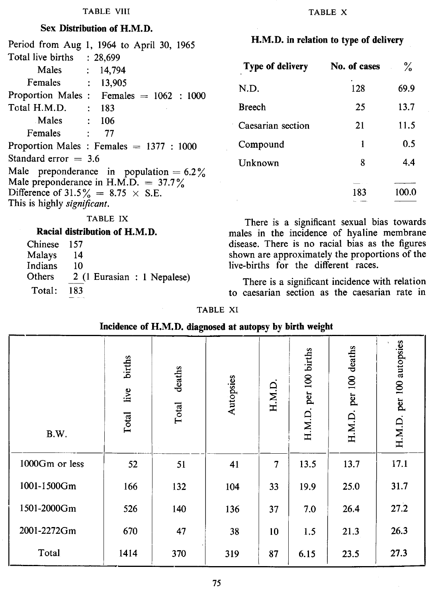# Sex Distribution of H.M.D.

| Period from Aug             | 1, 1964 to April 30, 1965                  |
|-----------------------------|--------------------------------------------|
| Total live births : 28,699  |                                            |
| Males : 14,794              |                                            |
| Females : 13,905            |                                            |
|                             | Proportion Males : Females $= 1062$ : 1000 |
| Total H.M.D.                | $\therefore$ 183                           |
| Males : 106                 |                                            |
| Females :                   | -77                                        |
|                             | Proportion Males : Females $= 1377 : 1000$ |
| Standard error $= 3.6$      |                                            |
|                             | Male preponderance in population = $6.2\%$ |
|                             | Male preponderance in H.M.D. = $37.7\%$    |
|                             | Difference of 31.5% = 8.75 $\times$ S.E.   |
| This is highly significant. |                                            |
|                             |                                            |

# H.M.D. in relation to type of delivery

| Type of delivery  | No. of cases | %     |
|-------------------|--------------|-------|
| N.D.              | 128          | 69.9  |
| <b>Breech</b>     | 25           | 13.7  |
| Caesarian section | 21           | 11.5  |
| Compound          | 1            | 0.5   |
| Unknown           | 8            | 4.4   |
| à.                | 183          | 100.0 |

TABLE IX

#### Racial distribution of H.M.D.

| Chinese 157 |                             |  |  |
|-------------|-----------------------------|--|--|
| Malays      | 14                          |  |  |
| Indians     | 10                          |  |  |
| Others      | 2 (1 Eurasian : 1 Nepalese) |  |  |
| Total:      | 183                         |  |  |

There is a significant sexual bias towards males in the incidence of hyaline membrane disease. There is no racial bias as the figures shown are approximately the proportions of the<br>live-births for the different races.

There is a significant incidence with relation<br>to caesarian section as the caesarian rate in

#### **TABLE XI**

|                |                                | ັ               |           |                |                             |                             |                             |
|----------------|--------------------------------|-----------------|-----------|----------------|-----------------------------|-----------------------------|-----------------------------|
| B.W.           | births<br>live<br><b>Total</b> | deaths<br>Total | Autopsies | H.M.D.         | 100 births<br>per<br>H.M.D. | deaths<br>per 100<br>H.M.D. | per 100 autopsies<br>H.M.D. |
| 1000Gm or less | 52                             | 51              | 41        | $\overline{7}$ | 13.5                        | 13.7                        | 17.1                        |
| 1001-1500Gm    | 166                            | 132             | 104       | 33             | 19.9                        | 25.0                        | 31.7                        |
| 1501-2000Gm    | 526                            | 140             | 136       | 37             | 7.0                         | 26.4                        | 27.2                        |
| 2001-2272Gm    | 670                            | 47              | 38        | 10             | 1.5                         | 21.3                        | 26.3                        |
| Total          | 1414                           | 370             | 319       | 87             | 6.15                        | 23.5                        | 27.3                        |

#### Incidence of H.M.D. diagnosed at autopsy by birth weight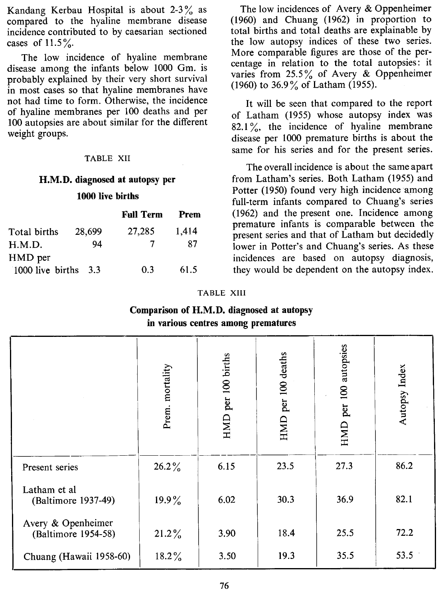Kandang Kerbau Hospital is about  $2-3\%$  as compared to the hyaline membrane disease incidence contributed to by caesarian sectioned cases of  $11.5\%$ .

The low incidence of hyaline membrane disease among the infants below 1000 Gm. is probably explained by their very short survival in most cases so that hyaline membranes have not had time to form. Otherwise, the incidence of hyaline membranes per 100 deaths and per 100 autopsies are about similar for the different weight groups.

#### **TABLE XII**

# **H.M.D. diagnosed at autopsy per**

#### **1000 live births**

|                  |        | <b>Full Term</b> | Prem  |
|------------------|--------|------------------|-------|
| Total births     | 28,699 | 27,285           | 1,414 |
| H.M.D.           | 94     | 7                | 87    |
| HMD per          |        |                  |       |
| 1000 live births | 3.3    | 0.3              | 61.5  |

The low incidences of Avery & Oppenheimer (1960) and Chuang (1962) in proportion to total births and total deaths are explainable by the low autopsy indices of these two series. More comparable figures are those of the percentage in relation to the total autopsies: it varies from 25.5% of Avery & Oppenheimer (1960) to 36.9% of Latham (1955).

It will be seen that compared to the report of Latham (1955) whose autopsy index was 82.1%, the incidence of hyaline membrane disease per 1000 premature births is about the same for his series and for the present series.

The overall incidence is about the same apart from Latham's series. Both Latham (1955) and Potter (1950) found very high incidence among full-term infants compared to Chuang's series (1962) and the present one. Incidence among premature infants is comparable between the present series and that of Latham but decidedly lower in Potter's and Chuang's series. As these incidences are based on autopsy diagnosis, they would be dependent on the autopsy index.

#### TABLE XIII

| Comparison of H.M.D. diagnosed at autopsy |                                     |  |  |
|-------------------------------------------|-------------------------------------|--|--|
|                                           | in various centres among prematures |  |  |

|                                           | Prem. mortality | per 100 births<br>HMD | HMD per 100 deaths | autopsies<br>100<br>per<br>HMD | Autopsy Index |
|-------------------------------------------|-----------------|-----------------------|--------------------|--------------------------------|---------------|
| Present series                            | $26.2\%$        | 6.15                  | 23.5               | 27.3                           | 86.2          |
| Latham et al<br>(Baltimore 1937-49)       | $19.9\%$        | 6.02                  | 30.3               | 36.9                           | 82.1          |
| Avery & Openheimer<br>(Baltimore 1954-58) | $21.2\%$        | 3.90                  | 18.4               | 25.5                           | 72.2          |
| Chuang (Hawaii 1958-60)                   | $18.2\%$        | 3.50                  | 19.3               | 35.5                           | 53.5          |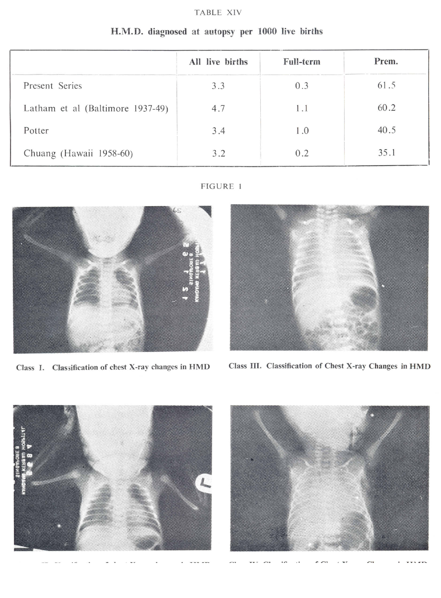|           |                                    |   | $0^*+$ .,<br>$2 - 1$                                                                                                                                                           |          |                           |                                                                 |
|-----------|------------------------------------|---|--------------------------------------------------------------------------------------------------------------------------------------------------------------------------------|----------|---------------------------|-----------------------------------------------------------------|
|           | $\mathbf{\&}$                      | ≸ | $\overline{y}$ $\overline{y}$                                                                                                                                                  | #<br>ŞI. | $\pmb{0}$<br>$\mathbf{B}$ |                                                                 |
|           |                                    |   |                                                                                                                                                                                |          | $\mathbf{v}_0$<br>        | ₿<br>$\begin{smallmatrix}&&7\\1&7&7&7&8&7&7&7\end{smallmatrix}$ |
|           |                                    |   | $&$ #&                                                                                                                                                                         |          | $\frac{1}{2}$             | $^{\prime}$ " $~\&~$                                            |
|           | $.3;538$ 4; 37 +37;689:4 \$)&("')! |   | '#(                                                                                                                                                                            |          | (                         | $'$ ! #                                                         |
| $/9$ ;;4: |                                    |   | $&$ #'                                                                                                                                                                         |          | $"$ !                     | % ! &                                                           |
|           |                                    |   | <b>&amp;#%&lt;/b&gt;&lt;/td&gt;&lt;td&gt;&lt;/td&gt;&lt;td&gt;&lt;math&gt;!&lt;/math&gt; #&lt;/td&gt;&lt;td&gt;\$&amp; (&lt;/td&gt;&lt;/tr&gt;&lt;/tbody&gt;&lt;/table&gt;</b> |          |                           |                                                                 |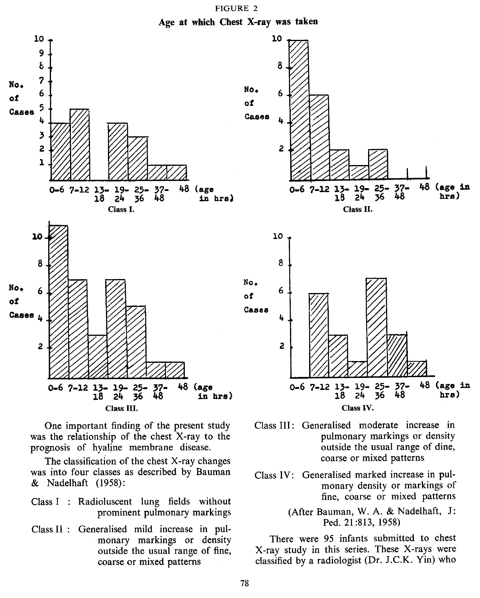FIGURE 2 Age at which Chest X-ray was taken



One important finding of the present study was the relationship of the chest X-ray to the prognosis of hyaline membrane disease.

The classification of the chest X-ray changes was into four classes as described by Bauman & Nadelhaft (1958):

- Class I : Radioluscent lung fields without prominent pulmonary markings
- Class II: Generalised mild increase in pulmonary markings or density outside the usual range of fine, coarse or mixed patterns
- Class Ill: Generalised moderate increase in pulmonary markings or density outside the usual range of dine, coarse or mixed patterns
- Class IV: Generalised marked increase in pulmonary density or markings of fine, coarse or mixed patterns
	- (After Bauman, W. A. & Nadelhaft, J: Ped. 21 :813, 1958)

There were 95 infants submitted to chest X-ray study in this series. These X-rays were classified by a radiologist (Dr. J.C.K. Yin) who